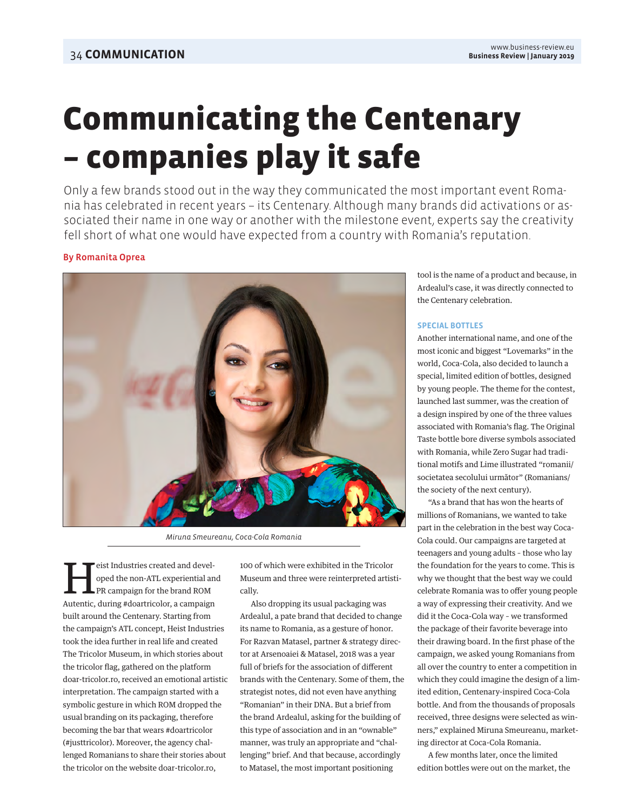# Communicating the Centenary – companies play it safe

Only a few brands stood out in the way they communicated the most important event Romania has celebrated in recent years – its Centenary. Although many brands did activations or associated their name in one way or another with the milestone event, experts say the creativity fell short of what one would have expected from a country with Romania's reputation.

## By Romanita Oprea



Miruna Smeureanu, Coca-Cola Romania

Heist Industries created and devel-PR campaign for the brand ROM oped the non-ATL experiential and Autentic, during #doartricolor, a campaign built around the Centenary. Starting from the campaign's ATL concept, Heist Industries took the idea further in real life and created The Tricolor Museum, in which stories about the tricolor flag, gathered on the platform doar-tricolor.ro, received an emotional artistic interpretation. The campaign started with a symbolic gesture in which ROM dropped the usual branding on its packaging, therefore becoming the bar that wears #doartricolor (#justtricolor). Moreover, the agency challenged Romanians to share their stories about the tricolor on the website doar-tricolor.ro,

100 of which were exhibited in the Tricolor Museum and three were reinterpreted artistically.

Also dropping its usual packaging was Ardealul, a pate brand that decided to change its name to Romania, as a gesture of honor. For Razvan Matasel, partner & strategy director at Arsenoaiei & Matasel, 2018 was a year full of briefs for the association of different brands with the Centenary. Some of them, the strategist notes, did not even have anything "Romanian" in their DNA. But a brief from the brand Ardealul, asking for the building of this type of association and in an "ownable" manner, was truly an appropriate and "challenging" brief. And that because, accordingly to Matasel, the most important positioning

tool is the name of a product and because, in Ardealul's case, it was directly connected to the Centenary celebration.

### **SPECIAL BOTTLES**

Another international name, and one of the most iconic and biggest "Lovemarks" in the world, Coca-Cola, also decided to launch a special, limited edition of bottles, designed by young people. The theme for the contest, launched last summer, was the creation of a design inspired by one of the three values associated with Romania's flag. The Original Taste bottle bore diverse symbols associated with Romania, while Zero Sugar had traditional motifs and Lime illustrated "romanii/ societatea secolului următor" (Romanians/ the society of the next century).

"As a brand that has won the hearts of millions of Romanians, we wanted to take part in the celebration in the best way Coca-Cola could. Our campaigns are targeted at teenagers and young adults – those who lay the foundation for the years to come. This is why we thought that the best way we could celebrate Romania was to offer young people a way of expressing their creativity. And we did it the Coca-Cola way – we transformed the package of their favorite beverage into their drawing board. In the first phase of the campaign, we asked young Romanians from all over the country to enter a competition in which they could imagine the design of a limited edition, Centenary-inspired Coca-Cola bottle. And from the thousands of proposals received, three designs were selected as winners," explained Miruna Smeureanu, marketing director at Coca-Cola Romania.

A few months later, once the limited edition bottles were out on the market, the